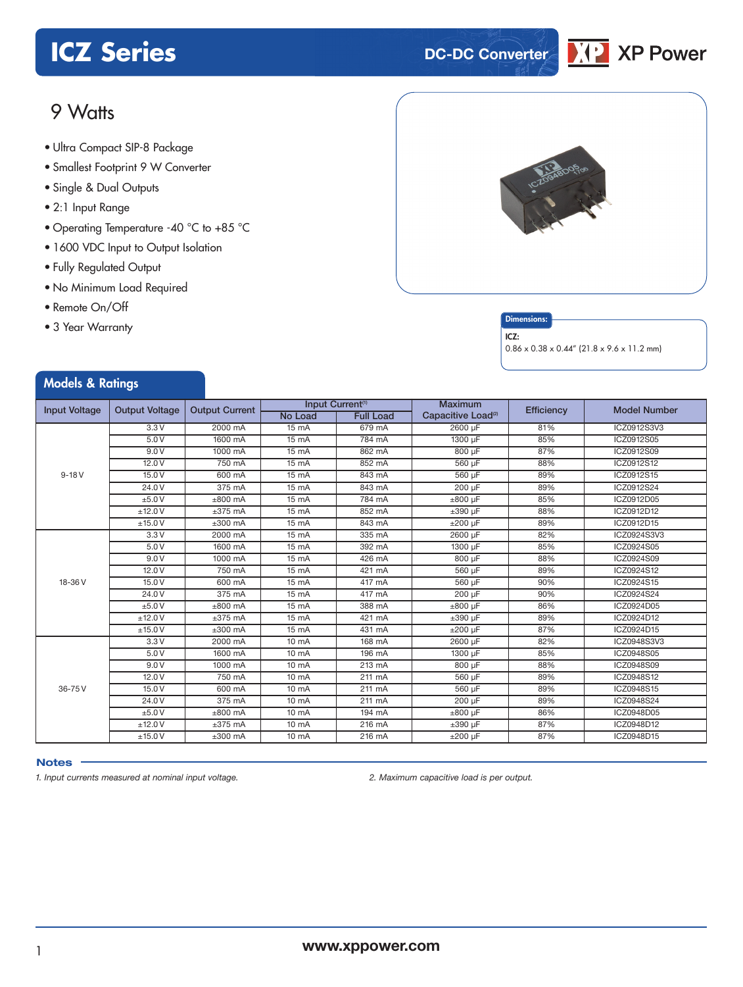# **ICZ Series DC-DC Converter**



## 9 Watts

- **xxx Series** Ultra Compact SIP-8 Package
- Smallest Footprint 9 W Converter
- Single & Dual Outputs
- 2:1 Input Range
- Operating Temperature -40 °C to +85 °C
- 1600 VDC Input to Output Isolation
- Fully Regulated Output
- No Minimum Load Required
- Remote On/Off
- 3 Year Warranty



#### **Dimensions**

ICZ:

0.86 x 0.38 x 0.44" (21.8 x 9.6 x 11.2 mm)

#### Models & Ratings Input Voltage | Output Voltage | Output Current | Input Current<sup>(1)</sup><br>No Load | Full Load **Maximum** Maximum<br>Capacitive Load<sup>(2)</sup> Efficiency Model Number<br>2600 µF 81% ICZ0912S3V3 9-18 V 3.3 V 2000 mA 15 mA 679 mA 2600 µF 81% ICZ0912S3V3 5.0 V | 1600 mA | 15 mA | 784 mA | 1300 µF | 85% | ICZ0912S05 9.0 V | 1000 mA | 15 mA | 862 mA | 800 µF | 87% | ICZ0912S09 12.0 V | 750 mA | 15 mA | 852 mA | 560 µF | 88% | ICZ0912S12 15.0 V | 600 mA | 15 mA | 843 mA | 560 µF | 89% | ICZ0912S15 24.0V | 375 mA | 15 mA | 843 mA | 200 µF | 89% | ICZ0912S24 ±5.0 V ±800 mA 15 mA 784 mA ±800 µF 85% ICZ0912D05 ±12.0 V ±375 mA 15 mA 852 mA ±390 µF 88% ICZ0912D12 ±15.0 V ±300 mA 15 mA 843 mA ±200 µF 89% ICZ0912D15 18-36 V 3.3 V 2000 mA 15 mA 335 mA 2600 µF 82% ICZ0924S3V3 5.0 V | 1600 mA | 15 mA | 392 mA | 1300 µF | 85% | ICZ0924S05 9.0 V | 1000 mA | 15 mA | 426 mA | 800 µF | 88% | ICZ0924S09 12.0 V | 750 mA | 15 mA | 421 mA | 560 µF | 89% | ICZ0924S12 15.0 V | 600 mA | 15 mA | 417 mA | 560 µF | 90% | ICZ0924S15 24.0V | 375 mA | 15 mA | 417 mA | 200 µF | 90% | ICZ0924S24 ±5.0 V ±800 mA 15 mA 388 mA ±800 µF 86% ICZ0924D05 ±12.0 V ±375 mA 15 mA 421 mA ±390 µF 89% ICZ0924D12 ±15.0 V ±300 mA 15 mA 431 mA ±200 µF 87% ICZ0924D15 36-75 V 3.3 V | 2000 mA | 10 mA | 168 mA | 2600 µF | 82% | ICZ0948S3V3 5.0 V | 1600 mA | 10 mA | 196 mA | 1300 µF | 85% | ICZ0948S05 9.0 V | 1000 mA | 10 mA | 213 mA | 800 µF | 88% | ICZ0948S09 12.0 V | 750 mA | 10 mA | 211 mA | 560 µF | 89% | ICZ0948S12 15.0 V | 600 mA | 10 mA | 211 mA | 560 µF | 89% | ICZ0948S15 24.0V | 375 mA | 10 mA | 211 mA | 200 µF | 89% | ICZ0948S24 ±5.0 V ±800 mA 10 mA 194 mA ±800 µF 86% ICZ0948D05 ±12.0 V ±375 mA 10 mA 216 mA ±390 µF 87% ICZ0948D12 ±15.0 V ±300 mA 10 mA 216 mA ±200 µF 87% ICZ0948D15

#### **Notes**

*1. Input currents measured at nominal input voltage. 2. Maximum capacitive load is per output.*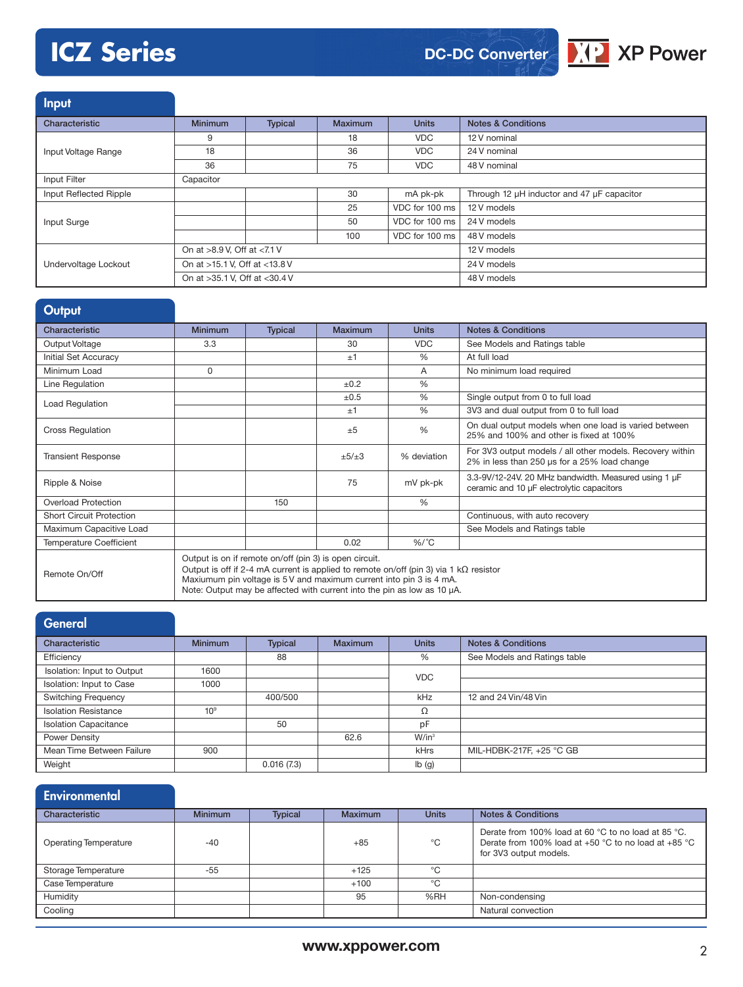# **ICZ Series**





**Input** 

| Characteristic         | <b>Minimum</b>                | <b>Typical</b> | Maximum | <b>Units</b>   | <b>Notes &amp; Conditions</b>              |
|------------------------|-------------------------------|----------------|---------|----------------|--------------------------------------------|
|                        | 9                             |                | 18      | <b>VDC</b>     | 12 V nominal                               |
| Input Voltage Range    | 18                            |                | 36      | <b>VDC</b>     | 24 V nominal                               |
|                        | 36                            |                | 75      | <b>VDC</b>     | 48 V nominal                               |
| Input Filter           | Capacitor                     |                |         |                |                                            |
| Input Reflected Ripple |                               |                | 30      | mA pk-pk       | Through 12 µH inductor and 47 µF capacitor |
|                        |                               |                | 25      | VDC for 100 ms | 12 V models                                |
| Input Surge            |                               |                | 50      | VDC for 100 ms | 24 V models                                |
|                        |                               |                | 100     | VDC for 100 ms | 48 V models                                |
|                        | On at >8.9 V, Off at <7.1 V   |                |         |                | 12 V models                                |
| Undervoltage Lockout   | On at >15.1 V, Off at <13.8 V |                |         |                | 24 V models                                |
|                        | On at >35.1 V, Off at <30.4 V |                |         | 48 V models    |                                            |

| Output                          |                                                                                                                                                                                                                                                                                                           |                |         |               |                                                                                                           |
|---------------------------------|-----------------------------------------------------------------------------------------------------------------------------------------------------------------------------------------------------------------------------------------------------------------------------------------------------------|----------------|---------|---------------|-----------------------------------------------------------------------------------------------------------|
| Characteristic                  | <b>Minimum</b>                                                                                                                                                                                                                                                                                            | <b>Typical</b> | Maximum | <b>Units</b>  | <b>Notes &amp; Conditions</b>                                                                             |
| Output Voltage                  | 3.3                                                                                                                                                                                                                                                                                                       |                | 30      | <b>VDC</b>    | See Models and Ratings table                                                                              |
| Initial Set Accuracy            |                                                                                                                                                                                                                                                                                                           |                | ±1      | $\frac{0}{0}$ | At full load                                                                                              |
| Minimum Load                    | $\Omega$                                                                                                                                                                                                                                                                                                  |                |         | A             | No minimum load required                                                                                  |
| Line Regulation                 |                                                                                                                                                                                                                                                                                                           |                | ±0.2    | $\frac{0}{0}$ |                                                                                                           |
| Load Regulation                 |                                                                                                                                                                                                                                                                                                           |                | ±0.5    | %             | Single output from 0 to full load                                                                         |
|                                 |                                                                                                                                                                                                                                                                                                           |                | ±1      | $\frac{0}{0}$ | 3V3 and dual output from 0 to full load                                                                   |
| <b>Cross Regulation</b>         |                                                                                                                                                                                                                                                                                                           |                | ±5      | $\frac{0}{0}$ | On dual output models when one load is varied between<br>25% and 100% and other is fixed at 100%          |
| <b>Transient Response</b>       |                                                                                                                                                                                                                                                                                                           |                | ±5/±3   | % deviation   | For 3V3 output models / all other models. Recovery within<br>2% in less than 250 us for a 25% load change |
| Ripple & Noise                  |                                                                                                                                                                                                                                                                                                           |                | 75      | mV pk-pk      | 3.3-9V/12-24V. 20 MHz bandwidth. Measured using 1 µF<br>ceramic and 10 µF electrolytic capacitors         |
| <b>Overload Protection</b>      |                                                                                                                                                                                                                                                                                                           | 150            |         | $\frac{0}{0}$ |                                                                                                           |
| <b>Short Circuit Protection</b> |                                                                                                                                                                                                                                                                                                           |                |         |               | Continuous, with auto recovery                                                                            |
| Maximum Capacitive Load         |                                                                                                                                                                                                                                                                                                           |                |         |               | See Models and Ratings table                                                                              |
| <b>Temperature Coefficient</b>  |                                                                                                                                                                                                                                                                                                           |                | 0.02    | $%$ /°C       |                                                                                                           |
| Remote On/Off                   | Output is on if remote on/off (pin 3) is open circuit.<br>Output is off if 2-4 mA current is applied to remote on/off (pin 3) via 1 k $\Omega$ resistor<br>Maxiumum pin voltage is 5 V and maximum current into pin 3 is 4 mA.<br>Note: Output may be affected with current into the pin as low as 10 µA. |                |         |               |                                                                                                           |

| General                      |                 |                |                |              |                               |
|------------------------------|-----------------|----------------|----------------|--------------|-------------------------------|
| Characteristic               | <b>Minimum</b>  | <b>Typical</b> | <b>Maximum</b> | <b>Units</b> | <b>Notes &amp; Conditions</b> |
| Efficiency                   |                 | 88             |                | %            | See Models and Ratings table  |
| Isolation: Input to Output   | 1600            |                |                | <b>VDC</b>   |                               |
| Isolation: Input to Case     | 1000            |                |                |              |                               |
| <b>Switching Frequency</b>   |                 | 400/500        |                | kHz          | 12 and 24 Vin/48 Vin          |
| <b>Isolation Resistance</b>  | 10 <sup>9</sup> |                |                | Ω            |                               |
| <b>Isolation Capacitance</b> |                 | 50             |                | pF           |                               |
| Power Density                |                 |                | 62.6           | $W/in^3$     |                               |
| Mean Time Between Failure    | 900             |                |                | kHrs         | MIL-HDBK-217F, +25 °C GB      |
| Weight                       |                 | 0.016(7.3)     |                | Ib(g)        |                               |

| Environmental |  |
|---------------|--|
|               |  |

| Characteristic               | <b>Minimum</b> | <b>Typical</b> | <b>Maximum</b> | <b>Units</b> | <b>Notes &amp; Conditions</b>                                                                                                                             |
|------------------------------|----------------|----------------|----------------|--------------|-----------------------------------------------------------------------------------------------------------------------------------------------------------|
| <b>Operating Temperature</b> | $-40$          |                | $+85$          | °C           | Derate from 100% load at 60 °C to no load at 85 °C.<br>Derate from 100% load at +50 $^{\circ}$ C to no load at +85 $^{\circ}$ C<br>for 3V3 output models. |
| Storage Temperature          | $-55$          |                | $+125$         | °೧           |                                                                                                                                                           |
| Case Temperature             |                |                | $+100$         | °C           |                                                                                                                                                           |
| Humidity                     |                |                | 95             | %RH          | Non-condensing                                                                                                                                            |
| Cooling                      |                |                |                |              | Natural convection                                                                                                                                        |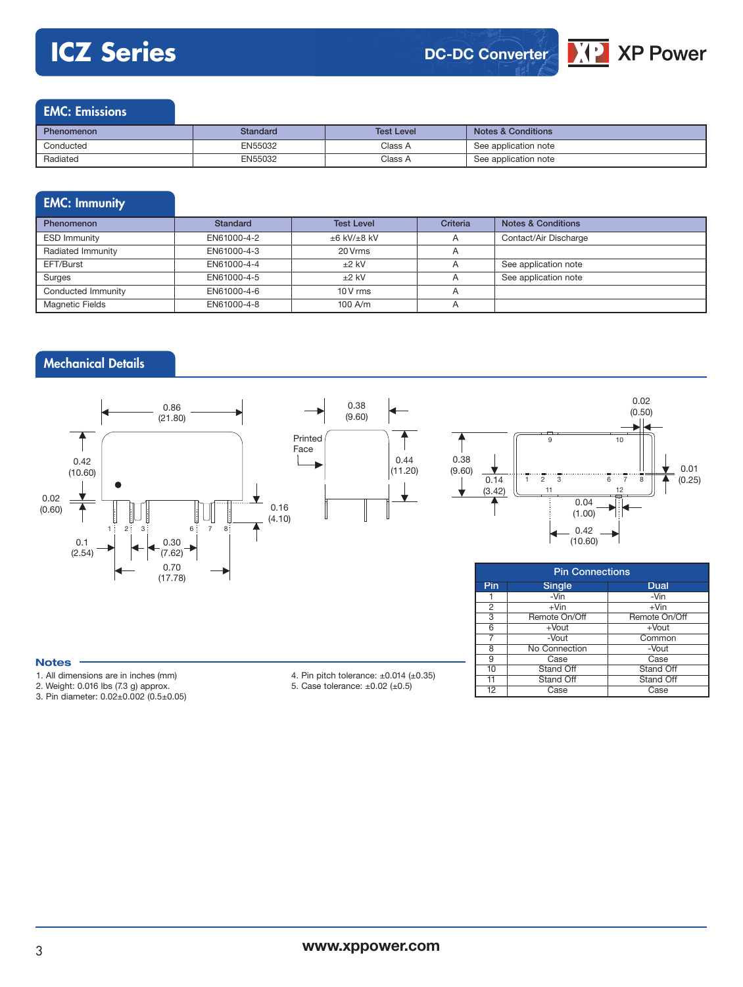# **ICZ Series**





3 Remote On/Off Remote Or<br>6 + Vout + Vout

7 -Vout Common<br>8 No Connection -Vout

9 Case Case<br>10 Stand Off Stand Off 10 Stand Off Stand Off Stand Off Stand Off Stand Off Stand Off

Case Case

6 +Vout<br>
7 -Vout

8 No Connection<br>9 Case

11 Stand Off<br>12 Case

### EMC: Emissions

| <b>Phenomenon</b> | Standard | <b>Test Level</b> | <b>Notes &amp; Conditions</b> |
|-------------------|----------|-------------------|-------------------------------|
| Conducted         | EN55032  | Class A           | See application note          |
| Radiated          | EN55032  | Class A           | See application note          |

### EMC: Immunity

| Phenomenon             | Standard    | <b>Test Level</b> | <b>Criteria</b> | <b>Notes &amp; Conditions</b> |
|------------------------|-------------|-------------------|-----------------|-------------------------------|
| <b>ESD Immunity</b>    | EN61000-4-2 | $±6$ kV/ $±8$ kV  |                 | Contact/Air Discharge         |
| Radiated Immunity      | EN61000-4-3 | 20 Vrms           | $\overline{A}$  |                               |
| EFT/Burst              | EN61000-4-4 | $+2$ kV           |                 | See application note          |
| Surges                 | EN61000-4-5 | $+2$ kV           |                 | See application note          |
| Conducted Immunity     | EN61000-4-6 | $10V$ rms         |                 |                               |
| <b>Magnetic Fields</b> | EN61000-4-8 | $100$ A/m         | $\overline{A}$  |                               |

### Mechanical Details



#### **Notes**

- 1. All dimensions are in inches (mm)
- 2. Weight: 0.016 lbs (7.3 g) approx.

3. Pin diameter: 0.02±0.002 (0.5±0.05)

- 4. Pin pitch tolerance: ±0.014 (±0.35)
- 5. Case tolerance: ±0.02 (±0.5)